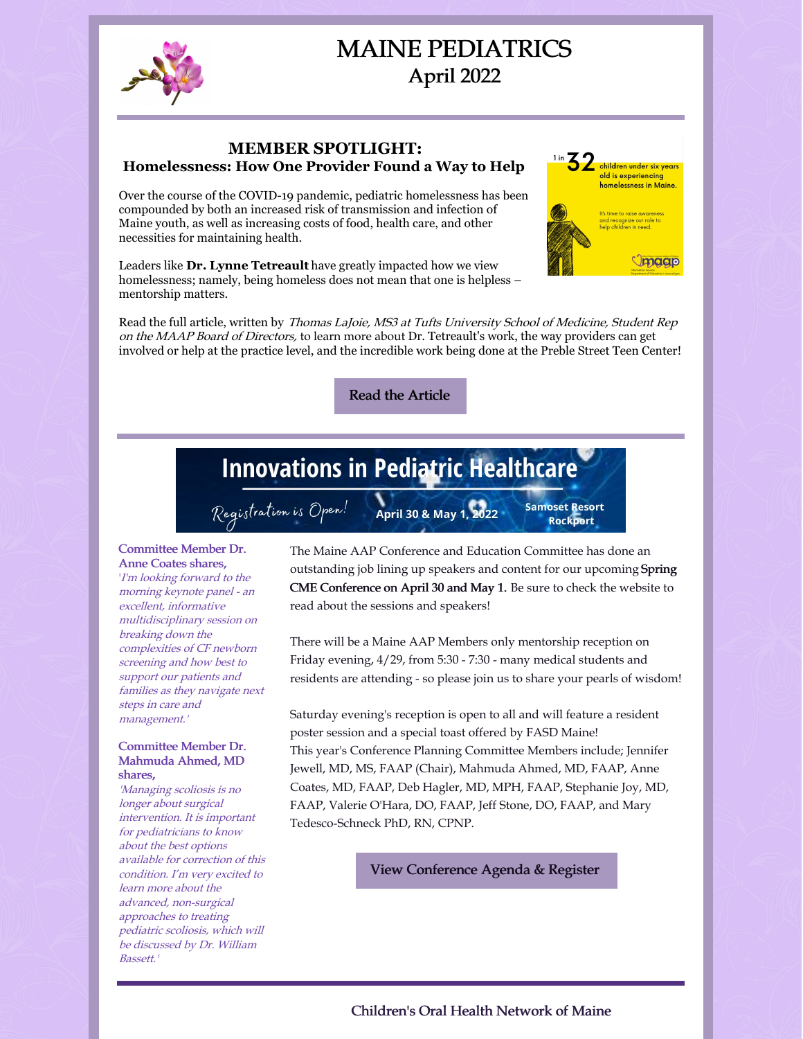

## MAINE PEDIATRICS April 2022

#### **MEMBER SPOTLIGHT: Homelessness: How One Provider Found a Way to Help**

Over the course of the COVID-19 pandemic, pediatric homelessness has been compounded by both an increased risk of transmission and infection of Maine youth, as well as increasing costs of food, health care, and other necessities for maintaining health.

Leaders like **Dr. Lynne Tetreault** have greatly impacted how we view homelessness; namely, being homeless does not mean that one is helpless – mentorship matters.



Read the [Article](https://www.maineaap.org/news/2022/member-spotlight-lynne-tetreault-md-faap-homelessness-in-portland-and-the-preble-street-teen-center#/)

# **Innovations in Pediatric Healthcare**

Registration is Open!

April 30 & May 1, 2022

**Samoset Resort Rockport** 

 $\frac{1 \text{ in } 32 \text{ children under six years}}$ old is experiencing homelessness in Maine.

and recognize our role to<br>help children in need.

magp

#### Committee Member Dr. Anne Coates shares,

'I'm looking forward to the morning keynote panel - an excellent, informative multidisciplinary session on breaking down the complexities of CF newborn screening and how best to support our patients and families as they navigate next steps in care and management.'

#### Committee Member Dr. Mahmuda Ahmed, MD shares,

'Managing scoliosis is no longer about surgical intervention. It is important for pediatricians to know about the best options available for correction of this condition. I'm very excited to learn more about the advanced, non-surgical approaches to treating pediatric scoliosis, which will be discussed by Dr. William Bassett.'

The Maine AAP Conference and Education Committee has done an outstanding job lining up speakers and content for our upcoming Spring CME Conference on April 30 and May 1. Be sure to check the website to read about the sessions and speakers!

There will be a Maine AAP Members only mentorship reception on Friday evening, 4/29, from 5:30 - 7:30 - many medical students and residents are attending - so please join us to share your pearls of wisdom!

Saturday evening's reception is open to all and will feature a resident poster session and a special toast offered by FASD Maine! This year's Conference Planning Committee Members include; Jennifer Jewell, MD, MS, FAAP (Chair), Mahmuda Ahmed, MD, FAAP, Anne Coates, MD, FAAP, Deb Hagler, MD, MPH, FAAP, Stephanie Joy, MD, FAAP, Valerie O'Hara, DO, FAAP, Jeff Stone, DO, FAAP, and Mary Tedesco-Schneck PhD, RN, CPNP.

View [Conference](https://www.maineaap.org/education/maine-aap-spring-2022-cme-conference) Agenda & Register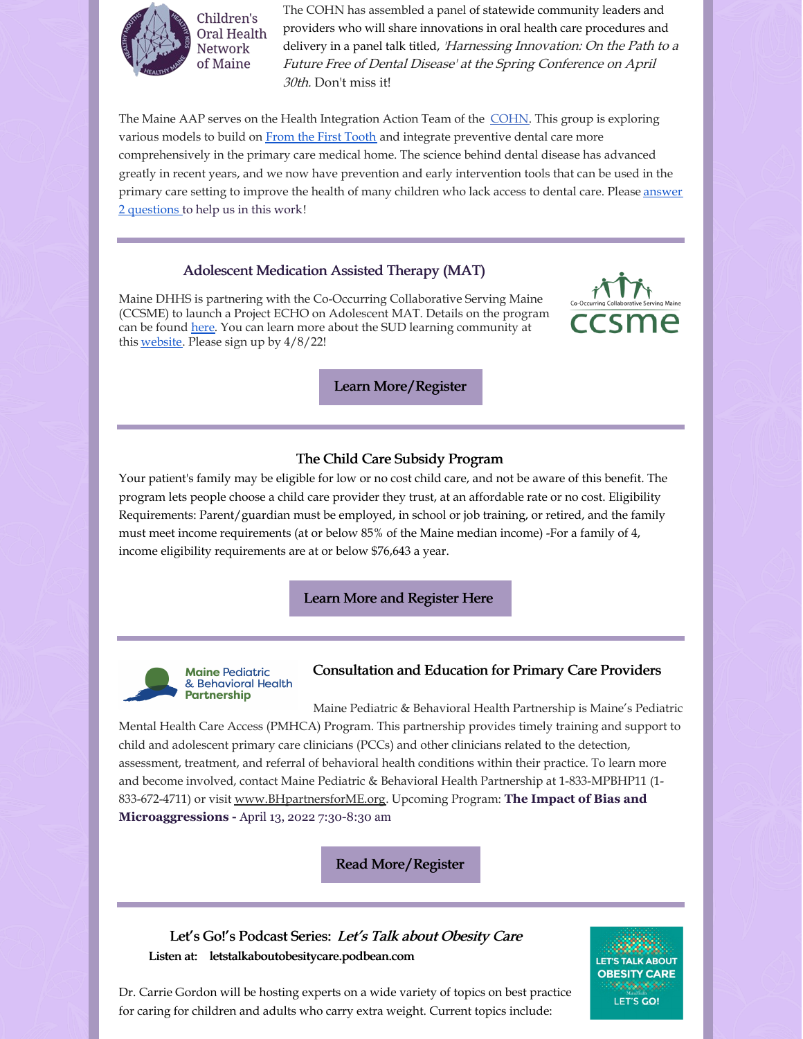

The COHN has assembled a panel of statewide community leaders and providers who will share innovations in oral health care procedures and delivery in a panel talk titled, 'Harnessing Innovation: On the Path to a Future Free of Dental Disease' at the Spring Conference on April 30th. Don't miss it!

The Maine AAP serves on the Health Integration Action Team of the [COHN](https://www.mainecohn.org/). This group is exploring various models to build on From the First [Tooth](https://www.fromthefirsttooth.org/by-state/maine/) and integrate preventive dental care more comprehensively in the primary care medical home. The science behind dental disease has advanced greatly in recent years, and we now have prevention and early intervention tools that can be used in the primary care setting to improve the health of many children who lack access to dental care. Please answer 2 [questions](https://www.surveymonkey.com/r/DentalSurvey_2021) to help us in this work!

#### Adolescent Medication Assisted Therapy (MAT)

Maine DHHS is partnering with the Co-Occurring Collaborative Serving Maine (CCSME) to launch a Project ECHO on Adolescent MAT. Details on the program can be found [here](https://gcc02.safelinks.protection.outlook.com/?url=https%3A%2F%2Fforms.office.com%2Fpages%2Fresponsepage.aspx%3Fid%3DCsi9BHfWck6xOQxUIIqEESnjChDlzfNDjcOLFprQhwNUQlAwM1E3RFFJVU82SEo1RDhLTVI2V0tCVSQlQCN0PWcu&data=04%7C01%7CAmy.Belisle%40maine.gov%7Cf689618ea8b248d9021008da13f6a201%7C413fa8ab207d4b629bcdea1a8f2f864e%7C0%7C0%7C637844247240650158%7CUnknown%7CTWFpbGZsb3d8eyJWIjoiMC4wLjAwMDAiLCJQIjoiV2luMzIiLCJBTiI6Ik1haWwiLCJXVCI6Mn0%3D%7C3000&sdata=p83%2F3Bt5T9STwq4Bu6xHUq77O21HvddFHJ0QO08I2Cc%3D&reserved=0). You can learn more about the SUD learning community at this [website](https://gcc02.safelinks.protection.outlook.com/?url=http%3A%2F%2Fmesudlearningcommunity.org%2F&data=04%7C01%7CAmy.Belisle%40maine.gov%7Cf689618ea8b248d9021008da13f6a201%7C413fa8ab207d4b629bcdea1a8f2f864e%7C0%7C0%7C637844247240650158%7CUnknown%7CTWFpbGZsb3d8eyJWIjoiMC4wLjAwMDAiLCJQIjoiV2luMzIiLCJBTiI6Ik1haWwiLCJXVCI6Mn0%3D%7C3000&sdata=Db%2FFddxoOZFxAX3XpR8VNbaO8oZ3qhDvrEZZD9fwO1U%3D&reserved=0). Please sign up by 4/8/22!



Learn [More/Register](https://forms.office.com/pages/responsepage.aspx?id=Csi9BHfWck6xOQxUIIqEESnjChDlzfNDjcOLFprQhwNUQlAwM1E3RFFJVU82SEo1RDhLTVI2V0tCVSQlQCN0PWcu)

#### The Child Care Subsidy Program

Your patient's family may be eligible for low or no cost child care, and not be aware of this benefit. The program lets people choose a child care provider they trust, at an affordable rate or no cost. Eligibility Requirements: Parent/guardian must be employed, in school or job training, or retired, and the family must meet income requirements (at or below 85% of the Maine median income) -For a family of 4, income eligibility requirements are at or below \$76,643 a year.

#### Learn More and [Register](http://bit.ly/MaineCCSP) Here



#### **Maine Pediatric** & Behavioral Health **Partnership**

# Consultation and Education for Primary Care Providers

Maine Pediatric & Behavioral Health Partnership is Maine's Pediatric Mental Health Care Access (PMHCA) Program. This partnership provides timely training and support to child and adolescent primary care clinicians (PCCs) and other clinicians related to the detection, assessment, treatment, and referral of behavioral health conditions within their practice. To learn more and become involved, contact Maine Pediatric & Behavioral Health Partnership at 1-833-MPBHP11 (1- 833-672-4711) or visit [www.BHpartnersforME.org](http://www.bhpartnersforme.org/). Upcoming Program: **The Impact of Bias and Microaggressions -** April 13, 2022 7:30-8:30 am

Read [More/Register](https://www.maineaap.org/news/2022/the-impact-of-bias-and-microaggressions#/)

Let's Go!'s Podcast Series: Let's Talk about Obesity Care Listen at: letstalkaboutobesitycare.podbean.com



Dr. Carrie Gordon will be hosting experts on a wide variety of topics on best practice for caring for children and adults who carry extra weight. Current topics include: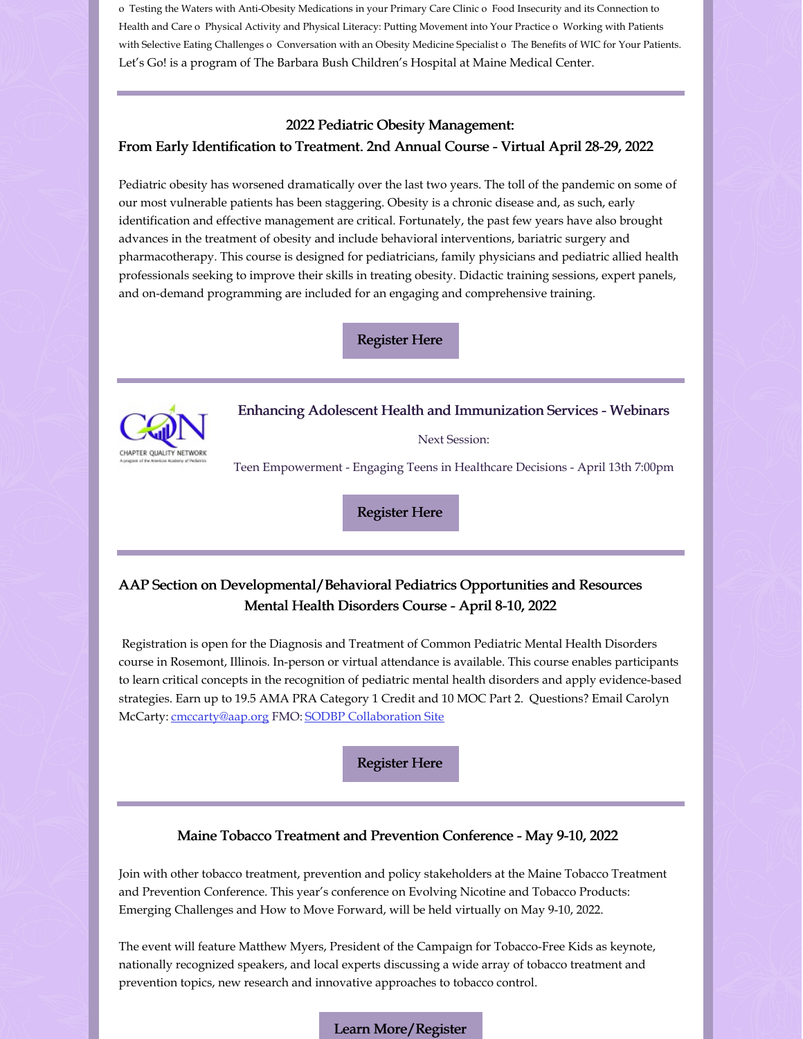o Testing the Waters with Anti-Obesity Medications in your Primary Care Clinic o Food Insecurity and its Connection to Health and Care o Physical Activity and Physical Literacy: Putting Movement into Your Practice o Working with Patients with Selective Eating Challenges o Conversation with an Obesity Medicine Specialist o The Benefits of WIC for Your Patients. Let's Go! is a program of The Barbara Bush Children's Hospital at Maine Medical Center.

#### 2022 Pediatric Obesity Management:

#### From Early Identification to Treatment. 2nd Annual Course - Virtual April 28-29, 2022

Pediatric obesity has worsened dramatically over the last two years. The toll of the pandemic on some of our most vulnerable patients has been staggering. Obesity is a chronic disease and, as such, early identification and effective management are critical. Fortunately, the past few years have also brought advances in the treatment of obesity and include behavioral interventions, bariatric surgery and pharmacotherapy. This course is designed for pediatricians, family physicians and pediatric allied health professionals seeking to improve their skills in treating obesity. Didactic training sessions, expert panels, and on-demand programming are included for an engaging and comprehensive training.

[Register](https://shop.aap.org/2022-pediatric-obesity-course-from-early-identification-to-treatment/) Here



Enhancing Adolescent Health and Immunization Services - Webinars

Next Session:

Teen Empowerment - Engaging Teens in Healthcare Decisions - April 13th 7:00pm

[Register](https://zoom.us/meeting/register/tJYtf-uqpj8rHtCStwvJFSb7nX7KEEjOWNn8) Here

### AAP Section on Developmental/Behavioral Pediatrics Opportunities and Resources Mental Health Disorders Course - April 8-10, 2022

Registration is open for the Diagnosis and Treatment of Common Pediatric Mental Health Disorders course in Rosemont, Illinois. In-person or virtual attendance is available. This course enables participants to learn critical concepts in the recognition of pediatric mental health disorders and apply evidence-based strategies. Earn up to 19.5 AMA PRA Category 1 Credit and 10 MOC Part 2. Questions? Email Carolyn McCarty: [cmccarty@aap.org](mailto:cmccarty@aap.org?subject=SODBP Opportunities and Resources) FMO: SODBP [Collaboration](https://collaborate.aap.org/SODBP/Pages/home.aspx) Site

[Register](https://shop.aap.org/2022-diagnosis-and-treatment-of-common-pediatric-mental-health-disorders-rosemont-il-all-access/) Here

#### Maine Tobacco Treatment and Prevention Conference - May 9-10, 2022

Join with other tobacco treatment, prevention and policy stakeholders at the Maine Tobacco Treatment and Prevention Conference. This year's conference on Evolving Nicotine and Tobacco Products: Emerging Challenges and How to Move Forward, will be held virtually on May 9-10, 2022.

The event will feature Matthew Myers, President of the Campaign for Tobacco-Free Kids as keynote, nationally recognized speakers, and local experts discussing a wide array of tobacco treatment and prevention topics, new research and innovative approaches to tobacco control.

Learn [More/Register](https://ctimaine.org/education-training/annual-tobacco-treatment-and-prevention-conference)